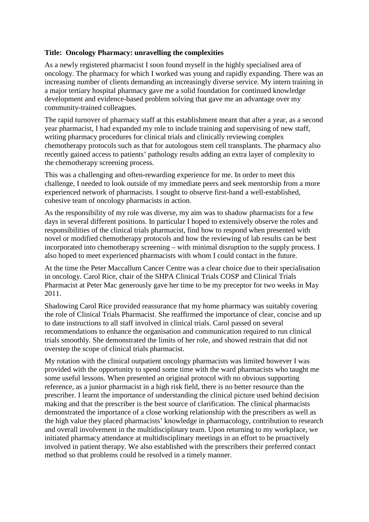## **Title: Oncology Pharmacy: unravelling the complexities**

As a newly registered pharmacist I soon found myself in the highly specialised area of oncology. The pharmacy for which I worked was young and rapidly expanding. There was an increasing number of clients demanding an increasingly diverse service. My intern training in a major tertiary hospital pharmacy gave me a solid foundation for continued knowledge development and evidence-based problem solving that gave me an advantage over my community-trained colleagues.

The rapid turnover of pharmacy staff at this establishment meant that after a year, as a second year pharmacist, I had expanded my role to include training and supervising of new staff, writing pharmacy procedures for clinical trials and clinically reviewing complex chemotherapy protocols such as that for autologous stem cell transplants. The pharmacy also recently gained access to patients' pathology results adding an extra layer of complexity to the chemotherapy screening process.

This was a challenging and often-rewarding experience for me. In order to meet this challenge, I needed to look outside of my immediate peers and seek mentorship from a more experienced network of pharmacists. I sought to observe first-hand a well-established, cohesive team of oncology pharmacists in action.

As the responsibility of my role was diverse, my aim was to shadow pharmacists for a few days in several different positions. In particular I hoped to extensively observe the roles and responsibilities of the clinical trials pharmacist, find how to respond when presented with novel or modified chemotherapy protocols and how the reviewing of lab results can be best incorporated into chemotherapy screening – with minimal disruption to the supply process. I also hoped to meet experienced pharmacists with whom I could contact in the future.

At the time the Peter Maccallum Cancer Centre was a clear choice due to their specialisation in oncology. Carol Rice, chair of the SHPA Clinical Trials COSP and Clinical Trials Pharmacist at Peter Mac generously gave her time to be my preceptor for two weeks in May 2011.

Shadowing Carol Rice provided reassurance that my home pharmacy was suitably covering the role of Clinical Trials Pharmacist. She reaffirmed the importance of clear, concise and up to date instructions to all staff involved in clinical trials. Carol passed on several recommendations to enhance the organisation and communication required to run clinical trials smoothly. She demonstrated the limits of her role, and showed restrain that did not overstep the scope of clinical trials pharmacist.

My rotation with the clinical outpatient oncology pharmacists was limited however I was provided with the opportunity to spend some time with the ward pharmacists who taught me some useful lessons. When presented an original protocol with no obvious supporting reference, as a junior pharmacist in a high risk field, there is no better resource than the prescriber. I learnt the importance of understanding the clinical picture used behind decision making and that the prescriber is the best source of clarification. The clinical pharmacists demonstrated the importance of a close working relationship with the prescribers as well as the high value they placed pharmacists' knowledge in pharmacology, contribution to research and overall involvement in the multidisciplinary team. Upon returning to my workplace, we initiated pharmacy attendance at multidisciplinary meetings in an effort to be proactively involved in patient therapy. We also established with the prescribers their preferred contact method so that problems could be resolved in a timely manner.